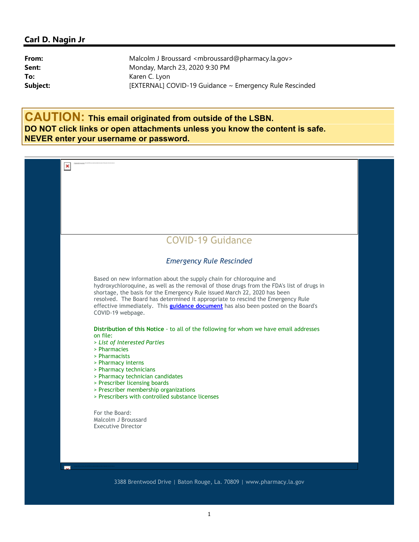## Carl D. Nagin Jr

| Malcolm J Broussard <mbroussard@pharmacy.la.gov></mbroussard@pharmacy.la.gov> |
|-------------------------------------------------------------------------------|
| Monday, March 23, 2020 9:30 PM                                                |
| Karen C. Lyon                                                                 |
| [EXTERNAL] COVID-19 Guidance ~ Emergency Rule Rescinded                       |
|                                                                               |

CAUTION: This email originated from outside of the LSBN. DO NOT click links or open attachments unless you know the content is safe. NEVER enter your username or password.



3388 Brentwood Drive | Baton Rouge, La. 70809 | www.pharmacy.la.gov